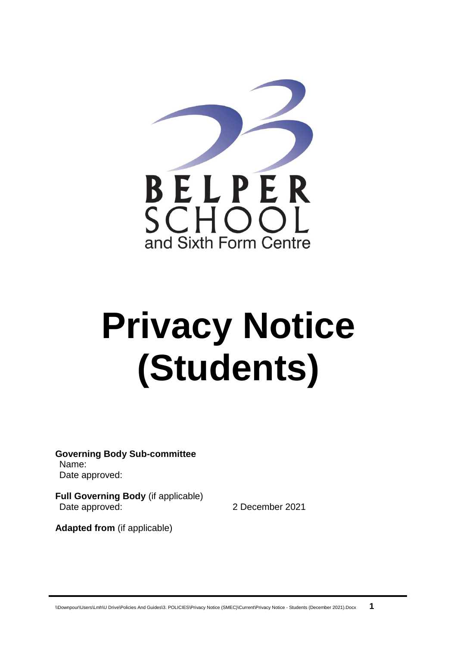

# **Privacy Notice (Students)**

**Governing Body Sub-committee** Name: Date approved:

**Full Governing Body** (if applicable) Date approved: 2 December 2021

**Adapted from** (if applicable)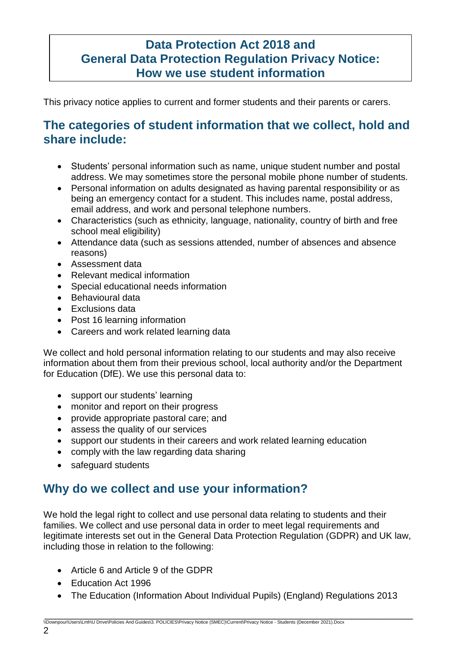# **Data Protection Act 2018 and General Data Protection Regulation Privacy Notice: How we use student information**

This privacy notice applies to current and former students and their parents or carers.

# **The categories of student information that we collect, hold and share include:**

- Students' personal information such as name, unique student number and postal address. We may sometimes store the personal mobile phone number of students.
- Personal information on adults designated as having parental responsibility or as being an emergency contact for a student. This includes name, postal address, email address, and work and personal telephone numbers.
- Characteristics (such as ethnicity, language, nationality, country of birth and free school meal eligibility)
- Attendance data (such as sessions attended, number of absences and absence reasons)
- Assessment data
- Relevant medical information
- Special educational needs information
- Behavioural data
- Exclusions data
- Post 16 learning information
- Careers and work related learning data

We collect and hold personal information relating to our students and may also receive information about them from their previous school, local authority and/or the Department for Education (DfE). We use this personal data to:

- support our students' learning
- monitor and report on their progress
- provide appropriate pastoral care; and
- assess the quality of our services
- support our students in their careers and work related learning education
- comply with the law regarding data sharing
- safeguard students

# **Why do we collect and use your information?**

We hold the legal right to collect and use personal data relating to students and their families. We collect and use personal data in order to meet legal requirements and legitimate interests set out in the General Data Protection Regulation (GDPR) and UK law, including those in relation to the following:

- Article 6 and Article 9 of the GDPR
- Education Act 1996
- The Education (Information About Individual Pupils) (England) Regulations 2013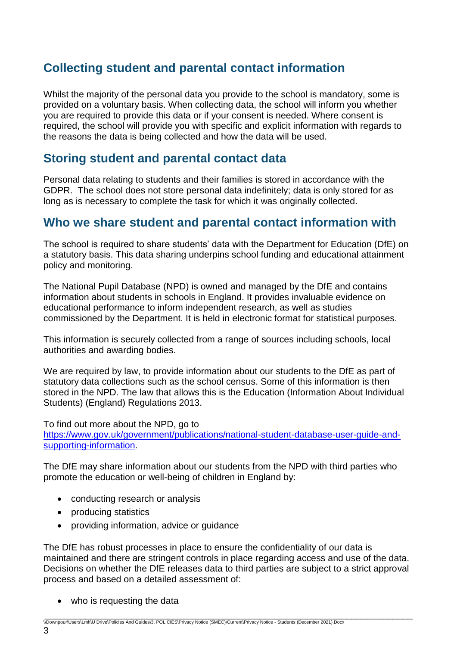# **Collecting student and parental contact information**

Whilst the majority of the personal data you provide to the school is mandatory, some is provided on a voluntary basis. When collecting data, the school will inform you whether you are required to provide this data or if your consent is needed. Where consent is required, the school will provide you with specific and explicit information with regards to the reasons the data is being collected and how the data will be used.

# **Storing student and parental contact data**

Personal data relating to students and their families is stored in accordance with the GDPR. The school does not store personal data indefinitely; data is only stored for as long as is necessary to complete the task for which it was originally collected.

# **Who we share student and parental contact information with**

The school is required to share students' data with the Department for Education (DfE) on a statutory basis. This data sharing underpins school funding and educational attainment policy and monitoring.

The National Pupil Database (NPD) is owned and managed by the DfE and contains information about students in schools in England. It provides invaluable evidence on educational performance to inform independent research, as well as studies commissioned by the Department. It is held in electronic format for statistical purposes.

This information is securely collected from a range of sources including schools, local authorities and awarding bodies.

We are required by law, to provide information about our students to the DfE as part of statutory data collections such as the school census. Some of this information is then stored in the NPD. The law that allows this is the Education (Information About Individual Students) (England) Regulations 2013.

To find out more about the NPD, go to [https://www.gov.uk/government/publications/national-student-database-user-guide-and](https://www.gov.uk/government/publications/national-pupil-database-user-guide-and-supporting-information)[supporting-information.](https://www.gov.uk/government/publications/national-pupil-database-user-guide-and-supporting-information)

The DfE may share information about our students from the NPD with third parties who promote the education or well-being of children in England by:

- conducting research or analysis
- producing statistics
- providing information, advice or guidance

The DfE has robust processes in place to ensure the confidentiality of our data is maintained and there are stringent controls in place regarding access and use of the data. Decisions on whether the DfE releases data to third parties are subject to a strict approval process and based on a detailed assessment of:

- who is requesting the data
- \_\_\_\_\_\_\_\_\_\_\_\_\_\_\_\_\_\_\_\_\_\_\_\_\_\_\_\_\_\_\_\_\_\_\_\_\_\_\_\_\_\_\_\_\_\_\_\_\_\_\_\_\_\_\_\_\_\_\_\_\_\_\_\_\_\_\_\_\_\_\_\_ \\Downpour\Users\Lmh\U Drive\Policies And Guides\3. POLICIES\Privacy Notice (SMEC)\Current\Privacy Notice - Students (December 2021).Docx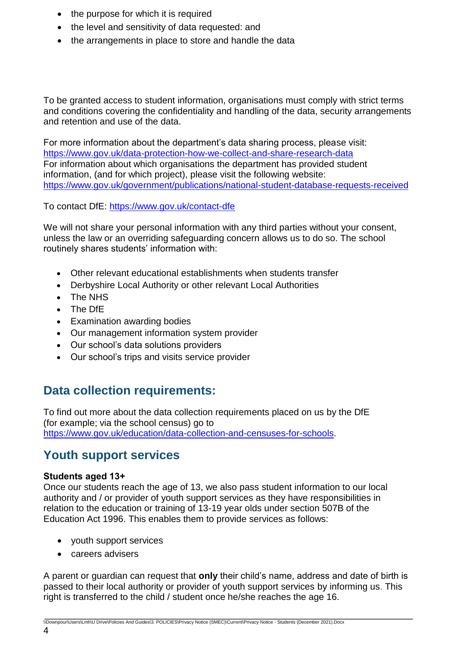- the purpose for which it is required
- the level and sensitivity of data requested: and
- the arrangements in place to store and handle the data

To be granted access to student information, organisations must comply with strict terms and conditions covering the confidentiality and handling of the data, security arrangements and retention and use of the data.

For more information about the department's data sharing process, please visit: <https://www.gov.uk/data-protection-how-we-collect-and-share-research-data> For information about which organisations the department has provided student information, (and for which project), please visit the following website: [https://www.gov.uk/government/publications/national-student-database-requests-received](https://www.gov.uk/government/publications/national-pupil-database-requests-received)

To contact DfE:<https://www.gov.uk/contact-dfe>

We will not share your personal information with any third parties without your consent, unless the law or an overriding safeguarding concern allows us to do so. The school routinely shares students' information with:

- Other relevant educational establishments when students transfer
- Derbyshire Local Authority or other relevant Local Authorities
- The NHS
- The DfE
- Examination awarding bodies
- Our management information system provider
- Our school's data solutions providers
- Our school's trips and visits service provider

# **Data collection requirements:**

To find out more about the data collection requirements placed on us by the DfE (for example; via the school census) go to [https://www.gov.uk/education/data-collection-and-censuses-for-schools.](https://www.gov.uk/education/data-collection-and-censuses-for-schools)

### **Youth support services**

#### **Students aged 13+**

Once our students reach the age of 13, we also pass student information to our local authority and / or provider of youth support services as they have responsibilities in relation to the education or training of 13-19 year olds under section 507B of the Education Act 1996. This enables them to provide services as follows:

- youth support services
- careers advisers

A parent or guardian can request that **only** their child's name, address and date of birth is passed to their local authority or provider of youth support services by informing us. This right is transferred to the child / student once he/she reaches the age 16.